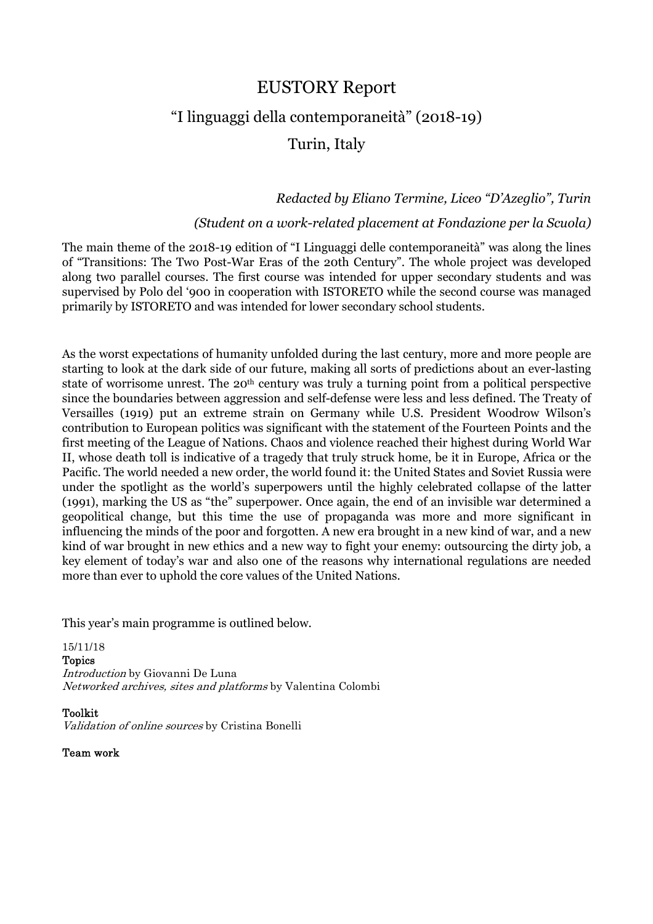# EUSTORY Report

# "I linguaggi della contemporaneità" (2018-19)

# Turin, Italy

### *Redacted by Eliano Termine, Liceo "D'Azeglio", Turin*

### *(Student on a work-related placement at Fondazione per la Scuola)*

The main theme of the 2018-19 edition of "I Linguaggi delle contemporaneità" was along the lines of "Transitions: The Two Post-War Eras of the 20th Century". The whole project was developed along two parallel courses. The first course was intended for upper secondary students and was supervised by Polo del '900 in cooperation with ISTORETO while the second course was managed primarily by ISTORETO and was intended for lower secondary school students.

As the worst expectations of humanity unfolded during the last century, more and more people are starting to look at the dark side of our future, making all sorts of predictions about an ever-lasting state of worrisome unrest. The 20<sup>th</sup> century was truly a turning point from a political perspective since the boundaries between aggression and self-defense were less and less defined. The Treaty of Versailles (1919) put an extreme strain on Germany while U.S. President Woodrow Wilson's contribution to European politics was significant with the statement of the Fourteen Points and the first meeting of the League of Nations. Chaos and violence reached their highest during World War II, whose death toll is indicative of a tragedy that truly struck home, be it in Europe, Africa or the Pacific. The world needed a new order, the world found it: the United States and Soviet Russia were under the spotlight as the world's superpowers until the highly celebrated collapse of the latter (1991), marking the US as "the" superpower. Once again, the end of an invisible war determined a geopolitical change, but this time the use of propaganda was more and more significant in influencing the minds of the poor and forgotten. A new era brought in a new kind of war, and a new kind of war brought in new ethics and a new way to fight your enemy: outsourcing the dirty job, a key element of today's war and also one of the reasons why international regulations are needed more than ever to uphold the core values of the United Nations.

This year's main programme is outlined below.

15/11/18 Topics Introduction by Giovanni De Luna Networked archives, sites and platforms by Valentina Colombi

Toolkit

Validation of online sources by Cristina Bonelli

Team work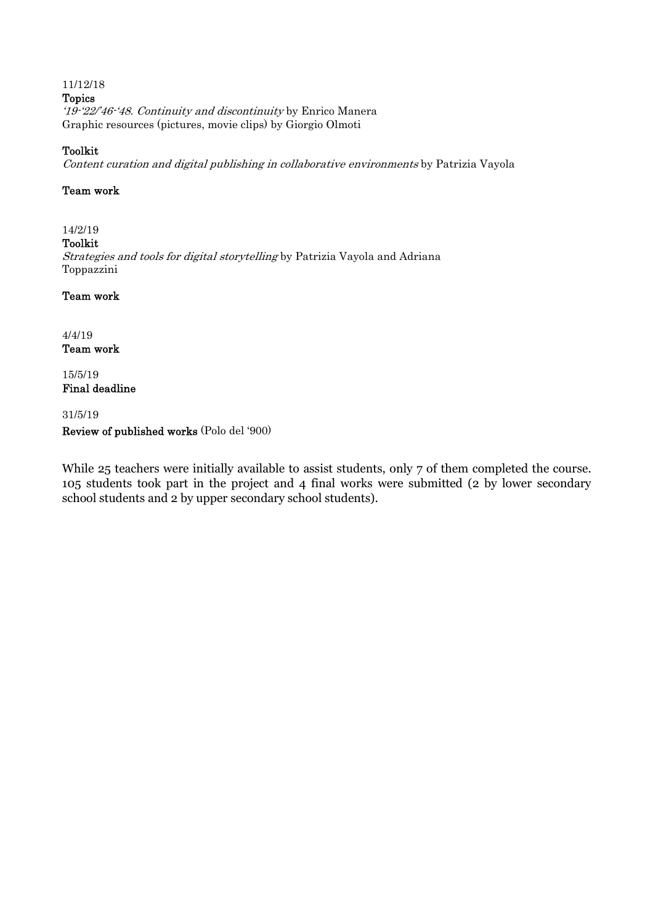#### 11/12/18 Topics '19-'22/'46-'48. Continuity and discontinuity by Enrico Manera Graphic resources (pictures, movie clips) by Giorgio Olmoti

### Toolkit

Content curation and digital publishing in collaborative environments by Patrizia Vayola

#### Team work

## 14/2/19

Toolkit

Strategies and tools for digital storytelling by Patrizia Vayola and Adriana Toppazzini

### Team work

4/4/19 Team work

15/5/19 Final deadline

31/5/19

### Review of published works (Polo del '900)

While 25 teachers were initially available to assist students, only 7 of them completed the course. 105 students took part in the project and 4 final works were submitted (2 by lower secondary school students and 2 by upper secondary school students).